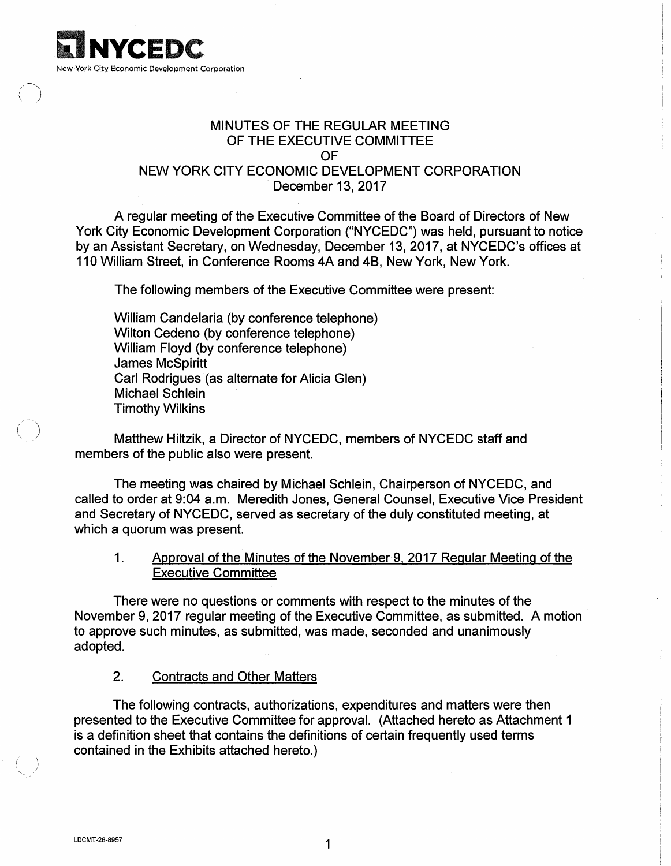

# MINUTES OF THE REGULAR MEETING OF THE EXECUTIVE COMMITTEE OF

## NEW YORK CITY ECONOMIC DEVELOPMENT CORPORATION December 13, 2017

A regular meeting of the Executive Committee of the Board of Directors of New York City Economic Development Corporation ("NYCEDC") was held, pursuant to notice by an Assistant Secretary, on Wednesday, December 13, 2017, at NYCEDC's offices at 110 William Street, in Conference Rooms 4A and 48, New York, New York.

The following members of the Executive Committee were present:

William Candelaria (by conference telephone) Wilton Cedeno (by conference telephone) William Floyd (by conference telephone) James McSpiritt Carl Rodrigues (as alternate for Alicia Glen) Michael Schlein Timothy Wilkins

Matthew Hiltzik, a Director of NYCEDC, members of NYCEDC staff and members of the public also were present.

The meeting was chaired by Michael Schlein, Chairperson of NYCEDC, and called to order at 9:04 a.m. Meredith Jones, General Counsel, Executive Vice President and Secretary of NYCEDC, served as secretary of the duly constituted meeting, at which a quorum was present.

1. Approval of the Minutes of the November 9. 2017 Regular Meeting of the Executive Committee

There were no questions or comments with respect to the minutes of the November 9, 2017 regular meeting of the Executive Committee, as submitted. A motion to approve such minutes, as submitted, was made, seconded and unanimously adopted.

2. Contracts and Other Matters

The following contracts, authorizations, expenditures and matters were then presented to the Executive Committee for approval. (Attached hereto as Attachment 1 is a definition sheet that contains the definitions of certain frequently used terms contained in the Exhibits attached hereto.)

 $( \ )$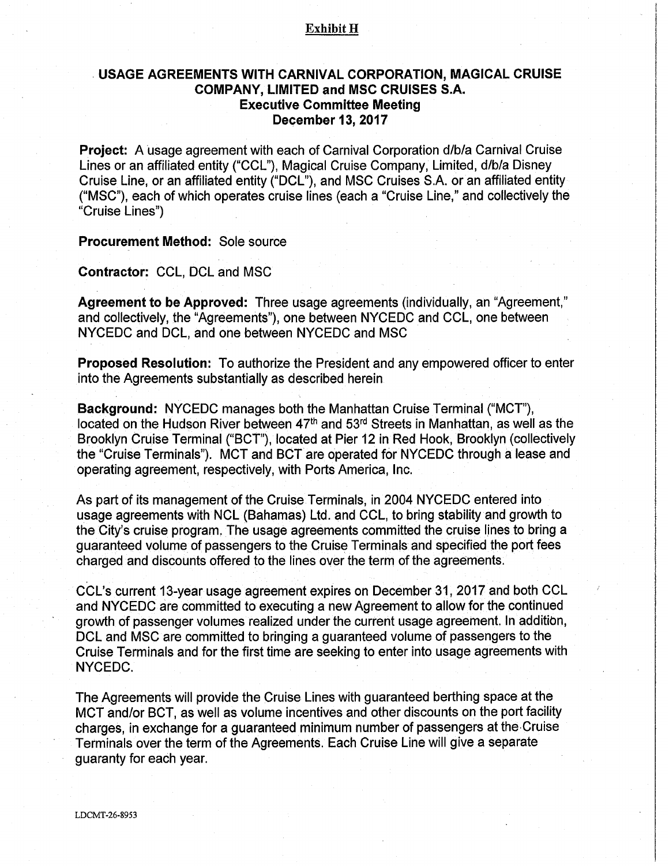#### Exhibit H

### . **USAGE AGREEMENTS WITH CARNIVAL CORPORATION, MAGICAL CRUISE COMPANY, LIMITED and MSC CRUISES S.A. Executive Committee Meeting December 13, 2017**

**Project:** A usage agreement with each of Carnival Corporation d/b/a Carnival Cruise Lines or an affiliated entity ("CCL"), Magical Cruise Company, Limited, d/b/a Disney Cruise Line, or an affiliated entity ("DCL"), and MSC Cruises S.A. or an affiliated entity ("MSC"), each of which operates cruise lines (each a "Cruise Line," and collectively the "Cruise Lines")

**Procurement Method:** Sole source

**Contractor:** CCL, DCL and MSC

**Agreement to be Approved:** Three usage agreements (individually, an "Agreement," and collectively, the "Agreements"), one between NYCEDC and CCL, one between NYCEDC and DCL, and one between NYCEDC and MSC

**Proposed Resolution:** To authorize the President and any empowered officer to enter into the Agreements substantially as described herein

**Background:** NYCEDC manages both the Manhattan Cruise Terminal ("MCT"), located on the Hudson River between 47<sup>th</sup> and 53<sup>rd</sup> Streets in Manhattan, as well as the Brooklyn Cruise Terminal ("BCT"), located at Pier 12 in Red Hook, Brooklyn (collectively the "Cruise Terminals"). MCT and BCT are operated for NYCEDC through a lease and operating agreement, respectively, with Ports America, Inc.

As part of its management of the Cruise Terminals, in 2004 NYCEDC entered into usage agreements with NCL (Bahamas) Ltd. and CCL, to bring stability and growth to the City's cruise program, The usage agreements committed the cruise lines to bring a guaranteed volume of passengers to the Cruise Terminals and specified the port fees charged and discounts offered to the lines over the term of the agreements.

CCL's current 13-year usage agreement expires on December 31,2017 and both CCL and NYCEDC are committed to executing a new Agreement to allow for the continued growth of passenger volumes realized under the current usage agreement. In additibn, DCL and MSC are committed to bringing a guaranteed volume of passengers to the Cruise Terminals and for the first time are seeking to enter into usage agreements with NYCEDC.

The Agreements will provide the Cruise Lines with guaranteed berthing space at the MCT and/or BCT, as well as volume incentives and other discounts on the port facility charges, in exchange for a guaranteed minimum number of passengers at the·Cruise Terminals over the term of the Agreements. Each Cruise Line will give a separate guaranty for each year.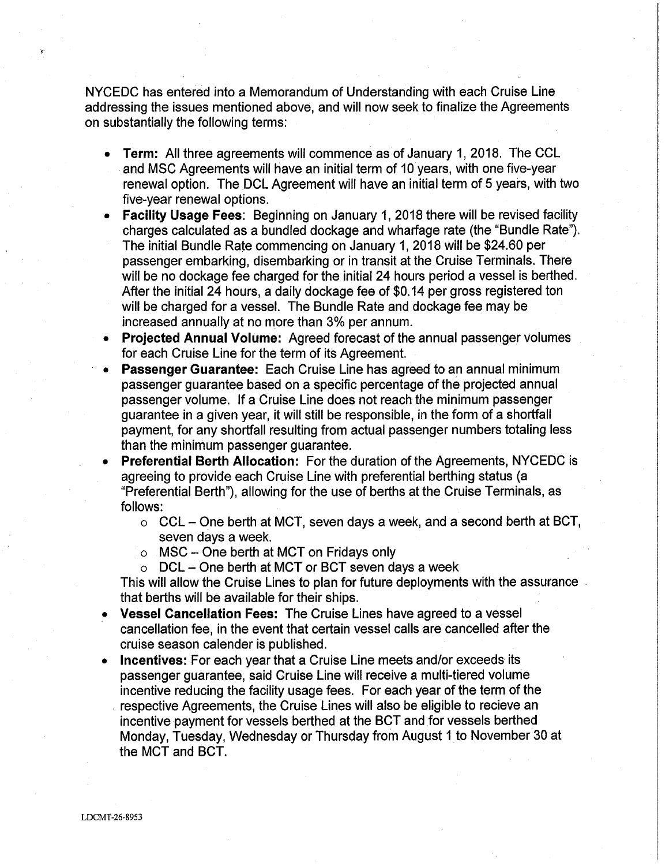NYCEDC has entered into a Memorandum of Understanding with each Cruise Line addressing the issues mentioned above, and will now seek to finalize the Agreements on substantially the following terms:

- **Term:** All three agreements will commence as of January 1, 2018. The CCL and MSC Agreements will have an initial term of 10 years, with one five-year renewal option. The DCL Agreement will have an initial term of 5 years, with two five-year renewal options.
- **Facility Usage Fees:** Beginning on January 1, 2018 there will be revised facility charges calculated as a bundled dockage and wharfage rate (the "Bundle Rate"). The initial Bundle Rate commencing on January 1, 2018 will be \$24.60 per passenger embarking, disembarking or in transit at the Cruise Terminals. There will be no dockage fee charged for the initial 24 hours period a vessel is berthed. After the initial 24 hours, a daily dockage fee of \$0.14 per gross registered ton will be charged for a vessel. The Bundle Rate and dockage fee may be increased annually at no more than 3% per annum.
- **Projected Annual Volume:** Agreed forecast of the annual passenger volumes for each Cruise Line for the term of its Agreement.
- **Passenger Guarantee:** Each Cruise Line has agreed to an annual minimum passenger guarantee based on a specific percentage of the projected annual passenger volume. If a Cruise Line does not reach the minimum passenger guarantee in a given year, it will still be responsible, in the form of a shortfall payment, for any shortfall resulting from actual passenger numbers totaling less than the minimum passenger guarantee.
- **Preferential Berth Allocation:** For the duration of the Agreements, NYCEDC is agreeing to provide each Cruise Line with preferential berthing status (a "Preferential Berth"), allowing for the use of berths at the Cruise Terminals, as follows:
	- $\circ$  CCL One berth at MCT, seven days a week, and a second berth at BCT, seven days a week.
	- $\circ$  MSC One berth at MCT on Fridays only
	- $\circ$  DCL One berth at MCT or BCT seven days a week

This will allow the Cruise Lines to plan for future deployments with the assurance . that berths will be available for their ships.

- **Vessel Cancellation Fees:** The Cruise Lines have agreed to a vessel cancellation fee, in the event that certain vessel calls are cancelled after the cruise season calender is published.
- **Incentives:** For each year that a Cruise Line meets and/or exceeds its passenger guarantee, said Cruise Line will receive a multi-tiered volume incentive reducing the facility usage fees. For each year of the term of the . respective Agreements, the Cruise Lines will also be eligible to recieve an incentive payment for vessels berthed at the BCT and for vessels berthed Monday, Tuesday, Wednesday or Thursday from August 1 to November30 at the MCT and BCT.